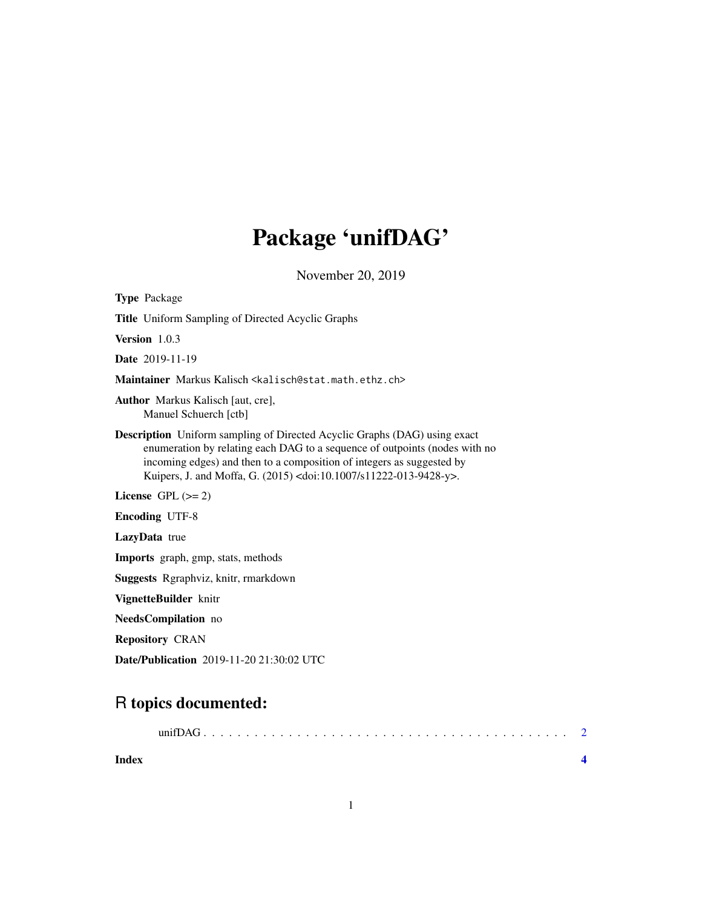## Package 'unifDAG'

November 20, 2019

<span id="page-0-0"></span>

| <b>Type Package</b>                                                                                                                                                                                                                                                                                                           |
|-------------------------------------------------------------------------------------------------------------------------------------------------------------------------------------------------------------------------------------------------------------------------------------------------------------------------------|
| <b>Title</b> Uniform Sampling of Directed Acyclic Graphs                                                                                                                                                                                                                                                                      |
| <b>Version</b> $1.0.3$                                                                                                                                                                                                                                                                                                        |
| <b>Date</b> 2019-11-19                                                                                                                                                                                                                                                                                                        |
| Maintainer Markus Kalisch <kalisch@stat.math.ethz.ch></kalisch@stat.math.ethz.ch>                                                                                                                                                                                                                                             |
| <b>Author</b> Markus Kalisch [aut, cre],<br>Manuel Schuerch [ctb]                                                                                                                                                                                                                                                             |
| <b>Description</b> Uniform sampling of Directed Acyclic Graphs (DAG) using exact<br>enumeration by relating each DAG to a sequence of outpoints (nodes with no<br>incoming edges) and then to a composition of integers as suggested by<br>Kuipers, J. and Moffa, G. (2015) <doi:10.1007 s11222-013-9428-y="">.</doi:10.1007> |
| License $GPL (= 2)$                                                                                                                                                                                                                                                                                                           |
| <b>Encoding UTF-8</b>                                                                                                                                                                                                                                                                                                         |
| LazyData true                                                                                                                                                                                                                                                                                                                 |
| Imports graph, gmp, stats, methods                                                                                                                                                                                                                                                                                            |
| Suggests Rgraphviz, knitr, rmarkdown                                                                                                                                                                                                                                                                                          |
| VignetteBuilder knitr                                                                                                                                                                                                                                                                                                         |
| NeedsCompilation no                                                                                                                                                                                                                                                                                                           |
| <b>Repository CRAN</b>                                                                                                                                                                                                                                                                                                        |
|                                                                                                                                                                                                                                                                                                                               |

Date/Publication 2019-11-20 21:30:02 UTC

### R topics documented: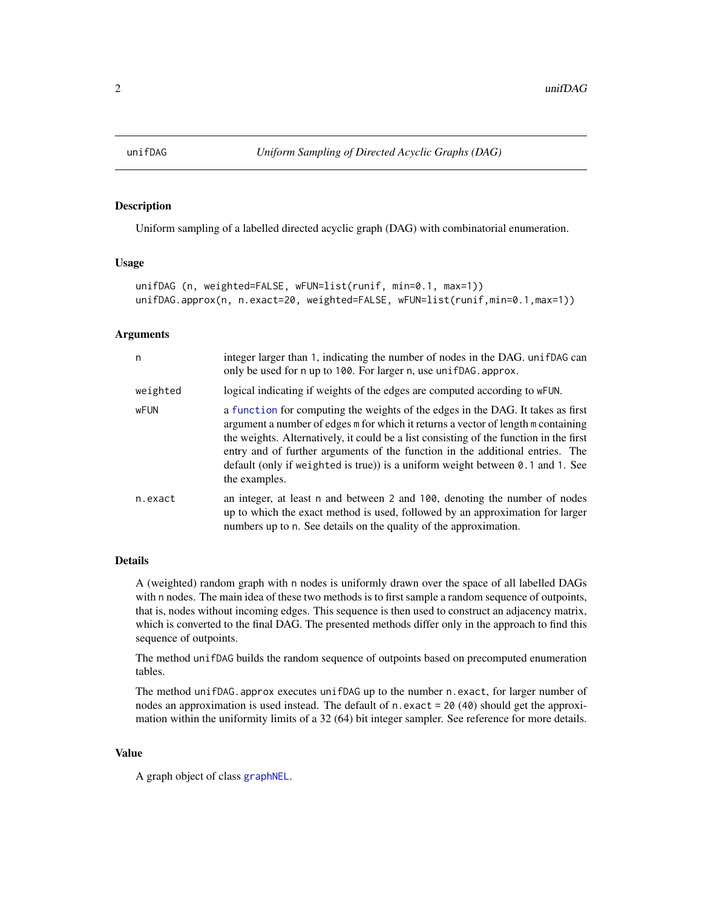<span id="page-1-0"></span>

#### Description

Uniform sampling of a labelled directed acyclic graph (DAG) with combinatorial enumeration.

#### Usage

```
unifDAG (n, weighted=FALSE, wFUN=list(runif, min=0.1, max=1))
unifDAG.approx(n, n.exact=20, weighted=FALSE, wFUN=list(runif,min=0.1,max=1))
```
#### Arguments

| n        | integer larger than 1, indicating the number of nodes in the DAG. unif DAG can<br>only be used for n up to 100. For larger n, use unifDAG. approx.                                                                                                                                                                                                                                                                                                          |
|----------|-------------------------------------------------------------------------------------------------------------------------------------------------------------------------------------------------------------------------------------------------------------------------------------------------------------------------------------------------------------------------------------------------------------------------------------------------------------|
| weighted | logical indicating if weights of the edges are computed according to wFUN.                                                                                                                                                                                                                                                                                                                                                                                  |
| wFUN     | a function for computing the weights of the edges in the DAG. It takes as first<br>argument a number of edges m for which it returns a vector of length m containing<br>the weights. Alternatively, it could be a list consisting of the function in the first<br>entry and of further arguments of the function in the additional entries. The<br>default (only if weighted is true)) is a uniform weight between $\theta$ . 1 and 1. See<br>the examples. |
| n.exact  | an integer, at least n and between 2 and 100, denoting the number of nodes<br>up to which the exact method is used, followed by an approximation for larger<br>numbers up to n. See details on the quality of the approximation.                                                                                                                                                                                                                            |

#### Details

A (weighted) random graph with n nodes is uniformly drawn over the space of all labelled DAGs with n nodes. The main idea of these two methods is to first sample a random sequence of outpoints, that is, nodes without incoming edges. This sequence is then used to construct an adjacency matrix, which is converted to the final DAG. The presented methods differ only in the approach to find this sequence of outpoints.

The method unifDAG builds the random sequence of outpoints based on precomputed enumeration tables.

The method unifDAG.approx executes unifDAG up to the number n.exact, for larger number of nodes an approximation is used instead. The default of n.exact =  $20(40)$  should get the approximation within the uniformity limits of a 32 (64) bit integer sampler. See reference for more details.

#### Value

A graph object of class [graphNEL](#page-0-0).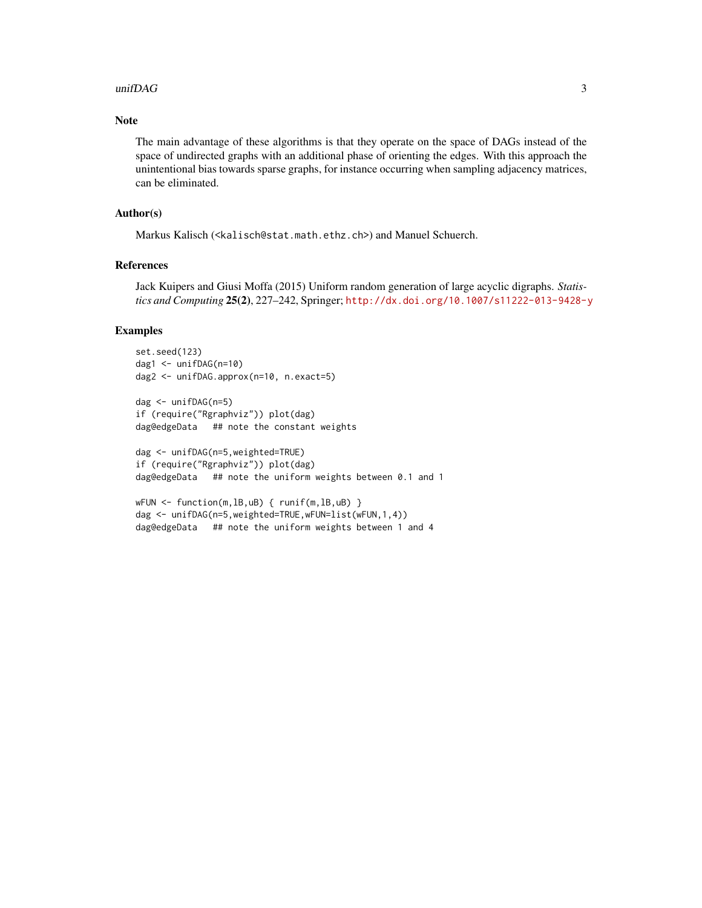#### $unif DAG$  3

#### Note

The main advantage of these algorithms is that they operate on the space of DAGs instead of the space of undirected graphs with an additional phase of orienting the edges. With this approach the unintentional bias towards sparse graphs, for instance occurring when sampling adjacency matrices, can be eliminated.

#### Author(s)

Markus Kalisch (<kalisch@stat.math.ethz.ch>) and Manuel Schuerch.

#### References

Jack Kuipers and Giusi Moffa (2015) Uniform random generation of large acyclic digraphs. *Statistics and Computing* 25(2), 227–242, Springer; <http://dx.doi.org/10.1007/s11222-013-9428-y>

#### Examples

```
set.seed(123)
dag1 <- unifDAG(n=10)
dag2 <- unifDAG.approx(n=10, n.exact=5)
dag <- unifDAG(n=5)
if (require("Rgraphviz")) plot(dag)
dag@edgeData ## note the constant weights
dag <- unifDAG(n=5,weighted=TRUE)
if (require("Rgraphviz")) plot(dag)
dag@edgeData ## note the uniform weights between 0.1 and 1
```

```
wFUN <- function(m,lB,uB) { runif(m,lB,uB) }
dag <- unifDAG(n=5,weighted=TRUE,wFUN=list(wFUN,1,4))
dag@edgeData ## note the uniform weights between 1 and 4
```